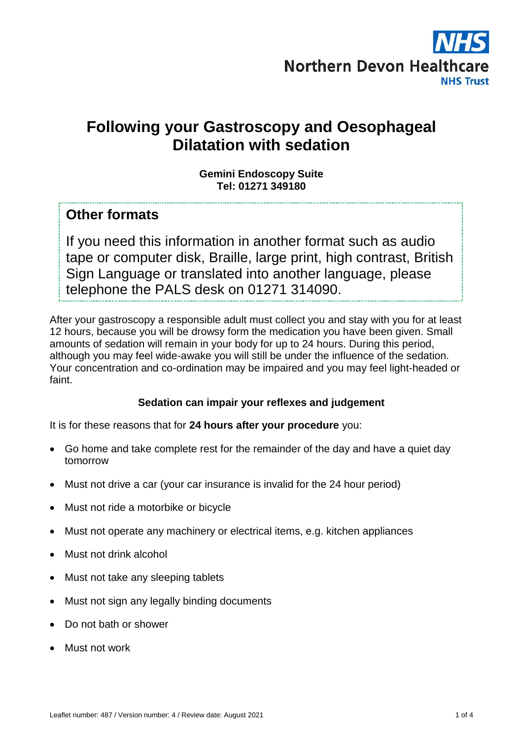

# **Following your Gastroscopy and Oesophageal Dilatation with sedation**

#### **Gemini Endoscopy Suite Tel: 01271 349180**

### **Other formats**

If you need this information in another format such as audio tape or computer disk, Braille, large print, high contrast, British Sign Language or translated into another language, please telephone the PALS desk on 01271 314090.

After your gastroscopy a responsible adult must collect you and stay with you for at least 12 hours, because you will be drowsy form the medication you have been given. Small amounts of sedation will remain in your body for up to 24 hours. During this period, although you may feel wide-awake you will still be under the influence of the sedation. Your concentration and co-ordination may be impaired and you may feel light-headed or faint.

#### **Sedation can impair your reflexes and judgement**

It is for these reasons that for **24 hours after your procedure** you:

- Go home and take complete rest for the remainder of the day and have a quiet day tomorrow
- Must not drive a car (your car insurance is invalid for the 24 hour period)
- Must not ride a motorbike or bicycle
- Must not operate any machinery or electrical items, e.g. kitchen appliances
- Must not drink alcohol
- Must not take any sleeping tablets
- Must not sign any legally binding documents
- Do not bath or shower
- Must not work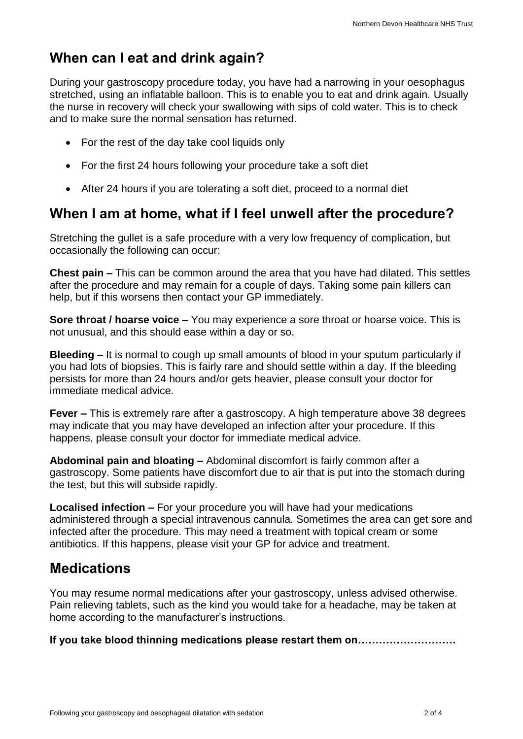## **When can I eat and drink again?**

During your gastroscopy procedure today, you have had a narrowing in your oesophagus stretched, using an inflatable balloon. This is to enable you to eat and drink again. Usually the nurse in recovery will check your swallowing with sips of cold water. This is to check and to make sure the normal sensation has returned.

- For the rest of the day take cool liquids only
- For the first 24 hours following your procedure take a soft diet
- After 24 hours if you are tolerating a soft diet, proceed to a normal diet

### **When I am at home, what if I feel unwell after the procedure?**

Stretching the gullet is a safe procedure with a very low frequency of complication, but occasionally the following can occur:

**Chest pain –** This can be common around the area that you have had dilated. This settles after the procedure and may remain for a couple of days. Taking some pain killers can help, but if this worsens then contact your GP immediately.

**Sore throat / hoarse voice –** You may experience a sore throat or hoarse voice. This is not unusual, and this should ease within a day or so.

**Bleeding –** It is normal to cough up small amounts of blood in your sputum particularly if you had lots of biopsies. This is fairly rare and should settle within a day. If the bleeding persists for more than 24 hours and/or gets heavier, please consult your doctor for immediate medical advice.

**Fever –** This is extremely rare after a gastroscopy. A high temperature above 38 degrees may indicate that you may have developed an infection after your procedure. If this happens, please consult your doctor for immediate medical advice.

**Abdominal pain and bloating –** Abdominal discomfort is fairly common after a gastroscopy. Some patients have discomfort due to air that is put into the stomach during the test, but this will subside rapidly.

**Localised infection –** For your procedure you will have had your medications administered through a special intravenous cannula. Sometimes the area can get sore and infected after the procedure. This may need a treatment with topical cream or some antibiotics. If this happens, please visit your GP for advice and treatment.

### **Medications**

You may resume normal medications after your gastroscopy, unless advised otherwise. Pain relieving tablets, such as the kind you would take for a headache, may be taken at home according to the manufacturer's instructions.

**If you take blood thinning medications please restart them on……………………….**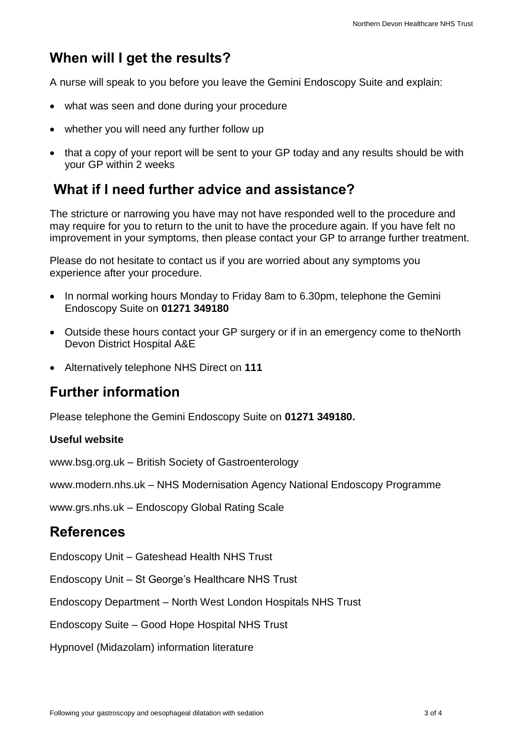## **When will I get the results?**

A nurse will speak to you before you leave the Gemini Endoscopy Suite and explain:

- what was seen and done during your procedure
- whether you will need any further follow up
- that a copy of your report will be sent to your GP today and any results should be with your GP within 2 weeks

## **What if I need further advice and assistance?**

The stricture or narrowing you have may not have responded well to the procedure and may require for you to return to the unit to have the procedure again. If you have felt no improvement in your symptoms, then please contact your GP to arrange further treatment.

Please do not hesitate to contact us if you are worried about any symptoms you experience after your procedure.

- In normal working hours Monday to Friday 8am to 6.30pm, telephone the Gemini Endoscopy Suite on **01271 349180**
- Outside these hours contact your GP surgery or if in an emergency come to theNorth Devon District Hospital A&E
- Alternatively telephone NHS Direct on **111**

## **Further information**

Please telephone the Gemini Endoscopy Suite on **01271 349180.**

#### **Useful website**

[www.bsg.org.uk](http://www.bsg.org.uk/) – British Society of Gastroenterology

[www.modern.nhs.uk](http://www.modern.nhs.uk/) – NHS Modernisation Agency National Endoscopy Programme

[www.grs.nhs.uk](http://www.grs.nhs.uk/) – Endoscopy Global Rating Scale

### **References**

Endoscopy Unit – Gateshead Health NHS Trust

Endoscopy Unit – St George's Healthcare NHS Trust

Endoscopy Department – North West London Hospitals NHS Trust

Endoscopy Suite – Good Hope Hospital NHS Trust

Hypnovel (Midazolam) information literature